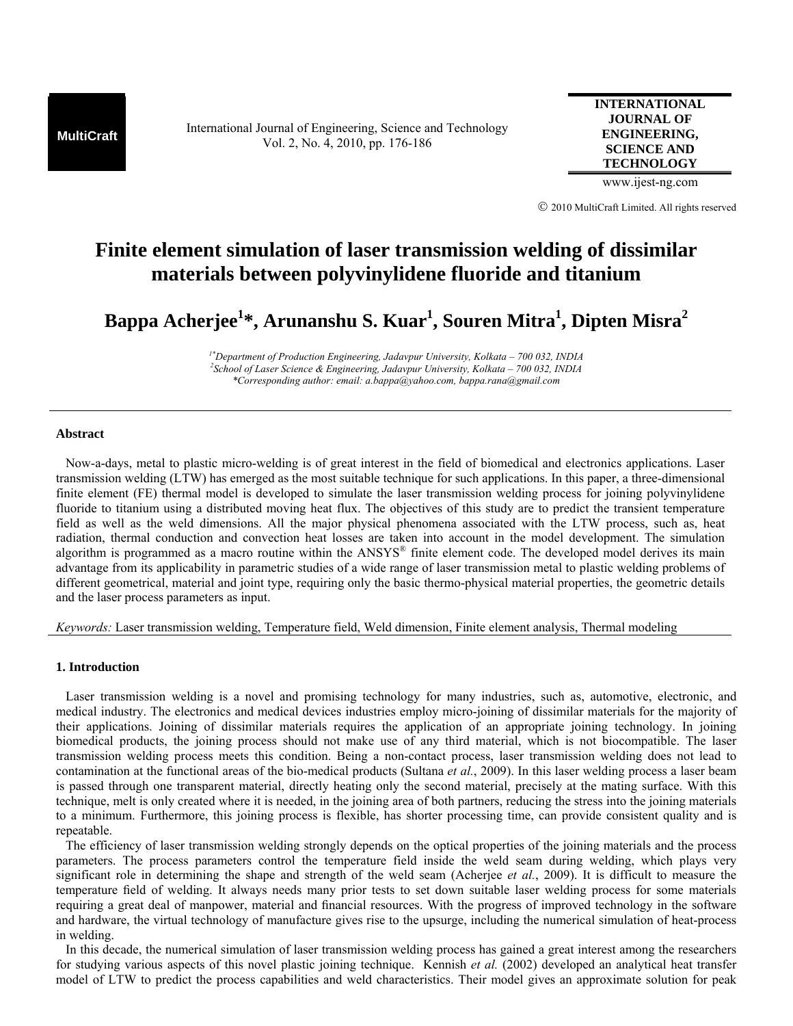**MultiCraft** International Journal of Engineering, Science and Technology Vol. 2, No. 4, 2010, pp. 176-186

**INTERNATIONAL JOURNAL OF ENGINEERING, SCIENCE AND TECHNOLOGY**

www.ijest-ng.com

© 2010 MultiCraft Limited. All rights reserved

# **Finite element simulation of laser transmission welding of dissimilar materials between polyvinylidene fluoride and titanium**

**Bappa Acherjee1 \*, Arunanshu S. Kuar1 , Souren Mitra1 , Dipten Misra2**

*1\*Department of Production Engineering, Jadavpur University, Kolkata – 700 032, INDIA 2 School of Laser Science & Engineering, Jadavpur University, Kolkata – 700 032, INDIA \*Corresponding author: email: a.bappa@yahoo.com, bappa.rana@gmail.com* 

# **Abstract**

 Now-a-days, metal to plastic micro-welding is of great interest in the field of biomedical and electronics applications. Laser transmission welding (LTW) has emerged as the most suitable technique for such applications. In this paper, a three-dimensional finite element (FE) thermal model is developed to simulate the laser transmission welding process for joining polyvinylidene fluoride to titanium using a distributed moving heat flux. The objectives of this study are to predict the transient temperature field as well as the weld dimensions. All the major physical phenomena associated with the LTW process, such as, heat radiation, thermal conduction and convection heat losses are taken into account in the model development. The simulation algorithm is programmed as a macro routine within the  $ANSYS^*$  finite element code. The developed model derives its main advantage from its applicability in parametric studies of a wide range of laser transmission metal to plastic welding problems of different geometrical, material and joint type, requiring only the basic thermo-physical material properties, the geometric details and the laser process parameters as input.

# *Keywords:* Laser transmission welding, Temperature field, Weld dimension, Finite element analysis, Thermal modeling

#### **1. Introduction**

 Laser transmission welding is a novel and promising technology for many industries, such as, automotive, electronic, and medical industry. The electronics and medical devices industries employ micro-joining of dissimilar materials for the majority of their applications. Joining of dissimilar materials requires the application of an appropriate joining technology. In joining biomedical products, the joining process should not make use of any third material, which is not biocompatible. The laser transmission welding process meets this condition. Being a non-contact process, laser transmission welding does not lead to contamination at the functional areas of the bio-medical products (Sultana *et al.*, 2009). In this laser welding process a laser beam is passed through one transparent material, directly heating only the second material, precisely at the mating surface. With this technique, melt is only created where it is needed, in the joining area of both partners, reducing the stress into the joining materials to a minimum. Furthermore, this joining process is flexible, has shorter processing time, can provide consistent quality and is repeatable.

 The efficiency of laser transmission welding strongly depends on the optical properties of the joining materials and the process parameters. The process parameters control the temperature field inside the weld seam during welding, which plays very significant role in determining the shape and strength of the weld seam (Acherjee *et al.*, 2009). It is difficult to measure the temperature field of welding. It always needs many prior tests to set down suitable laser welding process for some materials requiring a great deal of manpower, material and financial resources. With the progress of improved technology in the software and hardware, the virtual technology of manufacture gives rise to the upsurge, including the numerical simulation of heat-process in welding.

 In this decade, the numerical simulation of laser transmission welding process has gained a great interest among the researchers for studying various aspects of this novel plastic joining technique. Kennish *et al.* (2002) developed an analytical heat transfer model of LTW to predict the process capabilities and weld characteristics. Their model gives an approximate solution for peak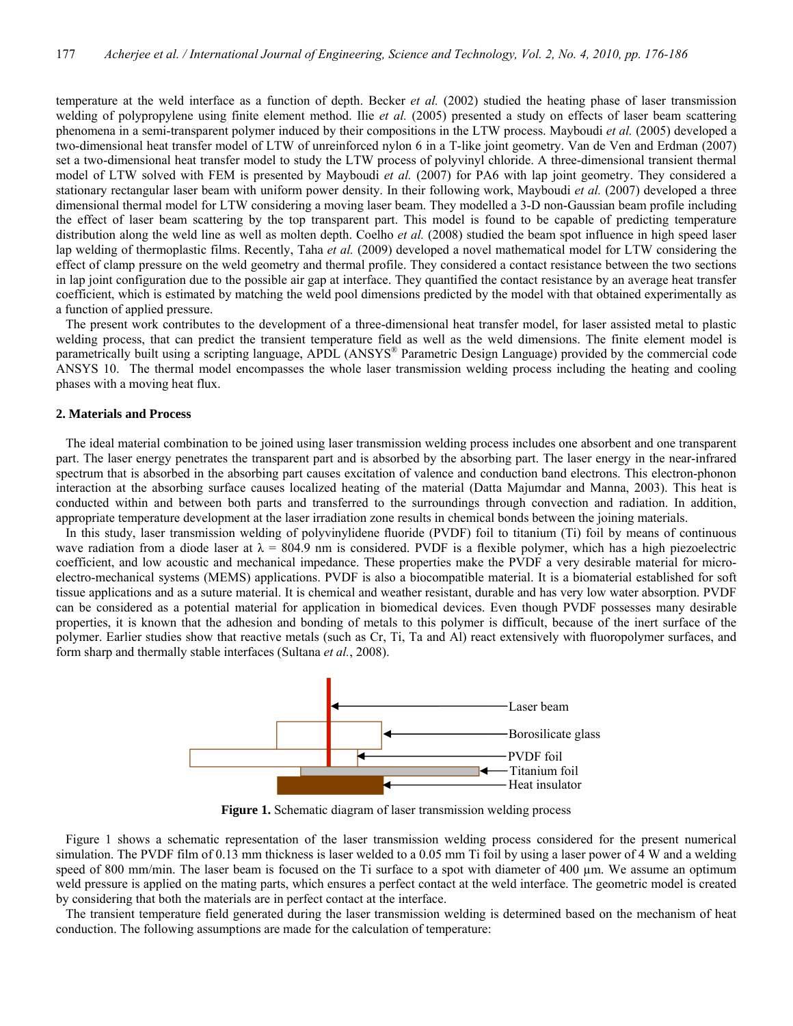temperature at the weld interface as a function of depth. Becker *et al.* (2002) studied the heating phase of laser transmission welding of polypropylene using finite element method. Ilie *et al.* (2005) presented a study on effects of laser beam scattering phenomena in a semi-transparent polymer induced by their compositions in the LTW process. Mayboudi *et al.* (2005) developed a two-dimensional heat transfer model of LTW of unreinforced nylon 6 in a T-like joint geometry. Van de Ven and Erdman (2007) set a two-dimensional heat transfer model to study the LTW process of polyvinyl chloride. A three-dimensional transient thermal model of LTW solved with FEM is presented by Mayboudi *et al.* (2007) for PA6 with lap joint geometry. They considered a stationary rectangular laser beam with uniform power density. In their following work, Mayboudi *et al.* (2007) developed a three dimensional thermal model for LTW considering a moving laser beam. They modelled a 3-D non-Gaussian beam profile including the effect of laser beam scattering by the top transparent part. This model is found to be capable of predicting temperature distribution along the weld line as well as molten depth. Coelho *et al.* (2008) studied the beam spot influence in high speed laser lap welding of thermoplastic films. Recently, Taha *et al.* (2009) developed a novel mathematical model for LTW considering the effect of clamp pressure on the weld geometry and thermal profile. They considered a contact resistance between the two sections in lap joint configuration due to the possible air gap at interface. They quantified the contact resistance by an average heat transfer coefficient, which is estimated by matching the weld pool dimensions predicted by the model with that obtained experimentally as a function of applied pressure.

 The present work contributes to the development of a three-dimensional heat transfer model, for laser assisted metal to plastic welding process, that can predict the transient temperature field as well as the weld dimensions. The finite element model is parametrically built using a scripting language, APDL (ANSYS® Parametric Design Language) provided by the commercial code ANSYS 10. The thermal model encompasses the whole laser transmission welding process including the heating and cooling phases with a moving heat flux.

## **2. Materials and Process**

 The ideal material combination to be joined using laser transmission welding process includes one absorbent and one transparent part. The laser energy penetrates the transparent part and is absorbed by the absorbing part. The laser energy in the near-infrared spectrum that is absorbed in the absorbing part causes excitation of valence and conduction band electrons. This electron-phonon interaction at the absorbing surface causes localized heating of the material (Datta Majumdar and Manna, 2003). This heat is conducted within and between both parts and transferred to the surroundings through convection and radiation. In addition, appropriate temperature development at the laser irradiation zone results in chemical bonds between the joining materials.

 In this study, laser transmission welding of polyvinylidene fluoride (PVDF) foil to titanium (Ti) foil by means of continuous wave radiation from a diode laser at  $\lambda = 804.9$  nm is considered. PVDF is a flexible polymer, which has a high piezoelectric coefficient, and low acoustic and mechanical impedance. These properties make the PVDF a very desirable material for microelectro-mechanical systems (MEMS) applications. PVDF is also a biocompatible material. It is a biomaterial established for soft tissue applications and as a suture material. It is chemical and weather resistant, durable and has very low water absorption. PVDF can be considered as a potential material for application in biomedical devices. Even though PVDF possesses many desirable properties, it is known that the adhesion and bonding of metals to this polymer is difficult, because of the inert surface of the polymer. Earlier studies show that reactive metals (such as Cr, Ti, Ta and Al) react extensively with fluoropolymer surfaces, and form sharp and thermally stable interfaces (Sultana *et al.*, 2008).



**Figure 1.** Schematic diagram of laser transmission welding process

 Figure 1 shows a schematic representation of the laser transmission welding process considered for the present numerical simulation. The PVDF film of 0.13 mm thickness is laser welded to a 0.05 mm Ti foil by using a laser power of 4 W and a welding speed of 800 mm/min. The laser beam is focused on the Ti surface to a spot with diameter of 400 µm. We assume an optimum weld pressure is applied on the mating parts, which ensures a perfect contact at the weld interface. The geometric model is created by considering that both the materials are in perfect contact at the interface.

 The transient temperature field generated during the laser transmission welding is determined based on the mechanism of heat conduction. The following assumptions are made for the calculation of temperature: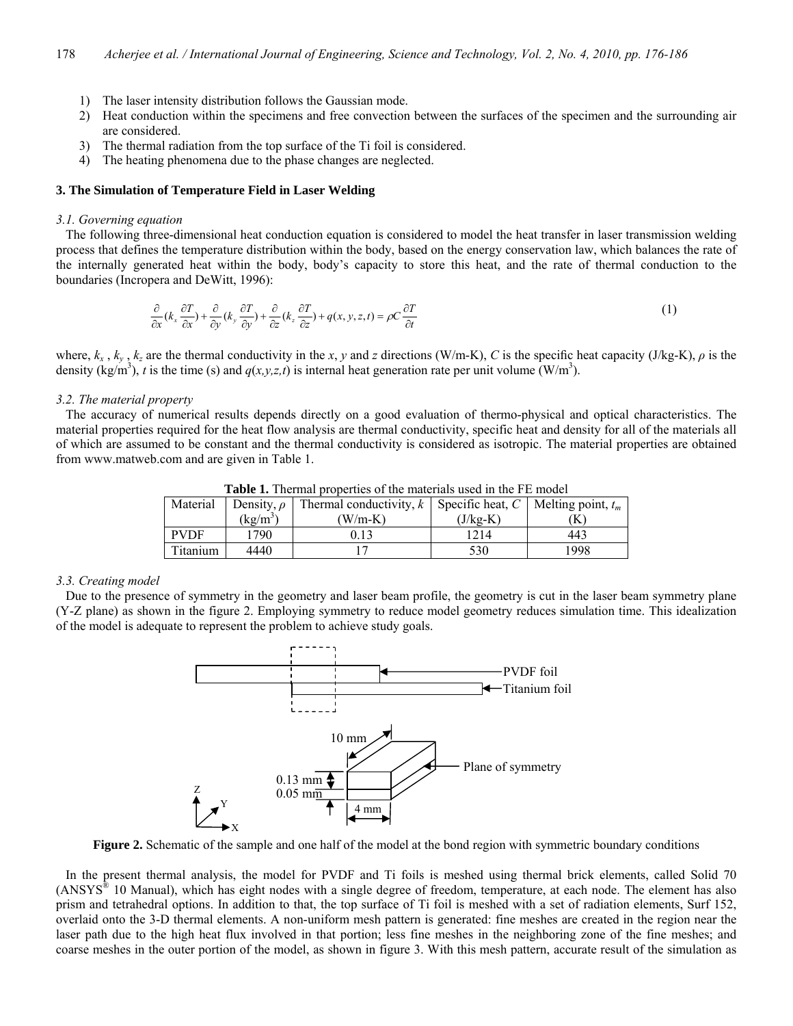- 1) The laser intensity distribution follows the Gaussian mode.
- 2) Heat conduction within the specimens and free convection between the surfaces of the specimen and the surrounding air are considered.
- 3) The thermal radiation from the top surface of the Ti foil is considered.
- 4) The heating phenomena due to the phase changes are neglected.

# **3. The Simulation of Temperature Field in Laser Welding**

#### *3.1. Governing equation*

 The following three-dimensional heat conduction equation is considered to model the heat transfer in laser transmission welding process that defines the temperature distribution within the body, based on the energy conservation law, which balances the rate of the internally generated heat within the body, body's capacity to store this heat, and the rate of thermal conduction to the boundaries (Incropera and DeWitt, 1996):

$$
\frac{\partial}{\partial x}(k_x \frac{\partial T}{\partial x}) + \frac{\partial}{\partial y}(k_y \frac{\partial T}{\partial y}) + \frac{\partial}{\partial z}(k_z \frac{\partial T}{\partial z}) + q(x, y, z, t) = \rho C \frac{\partial T}{\partial t}
$$
\n(1)

where,  $k_x$ ,  $k_y$ ,  $k_z$  are the thermal conductivity in the *x*, *y* and *z* directions (W/m-K), *C* is the specific heat capacity (J/kg-K),  $\rho$  is the density (kg/m<sup>3</sup>), *t* is the time (s) and  $q(x, y, z, t)$  is internal heat generation rate per unit volume (W/m<sup>3</sup>).

# *3.2. The material property*

 The accuracy of numerical results depends directly on a good evaluation of thermo-physical and optical characteristics. The material properties required for the heat flow analysis are thermal conductivity, specific heat and density for all of the materials all of which are assumed to be constant and the thermal conductivity is considered as isotropic. The material properties are obtained from www.matweb.com and are given in Table 1.

| Material    | Density, $\rho$ | Thermal conductivity, k   Specific heat, C   Melting point, $t_m$ |            |      |
|-------------|-----------------|-------------------------------------------------------------------|------------|------|
|             | $(kg/m^3)$      | $W/m-K$ )                                                         | $(J/kg-K)$ | K    |
| <b>PVDF</b> | 1790            | 0.13                                                              | 1214       | 443  |
| Titanium    | 4440            |                                                                   | 530        | 1998 |

**Table 1.** Thermal properties of the materials used in the FE model

#### *3.3. Creating model*

 Due to the presence of symmetry in the geometry and laser beam profile, the geometry is cut in the laser beam symmetry plane (Y-Z plane) as shown in the figure 2. Employing symmetry to reduce model geometry reduces simulation time. This idealization of the model is adequate to represent the problem to achieve study goals.



**Figure 2.** Schematic of the sample and one half of the model at the bond region with symmetric boundary conditions

 In the present thermal analysis, the model for PVDF and Ti foils is meshed using thermal brick elements, called Solid 70  $(ANSYS<sup>®</sup> 10 Manual)$ , which has eight nodes with a single degree of freedom, temperature, at each node. The element has also prism and tetrahedral options. In addition to that, the top surface of Ti foil is meshed with a set of radiation elements, Surf 152, overlaid onto the 3-D thermal elements. A non-uniform mesh pattern is generated: fine meshes are created in the region near the laser path due to the high heat flux involved in that portion; less fine meshes in the neighboring zone of the fine meshes; and coarse meshes in the outer portion of the model, as shown in figure 3. With this mesh pattern, accurate result of the simulation as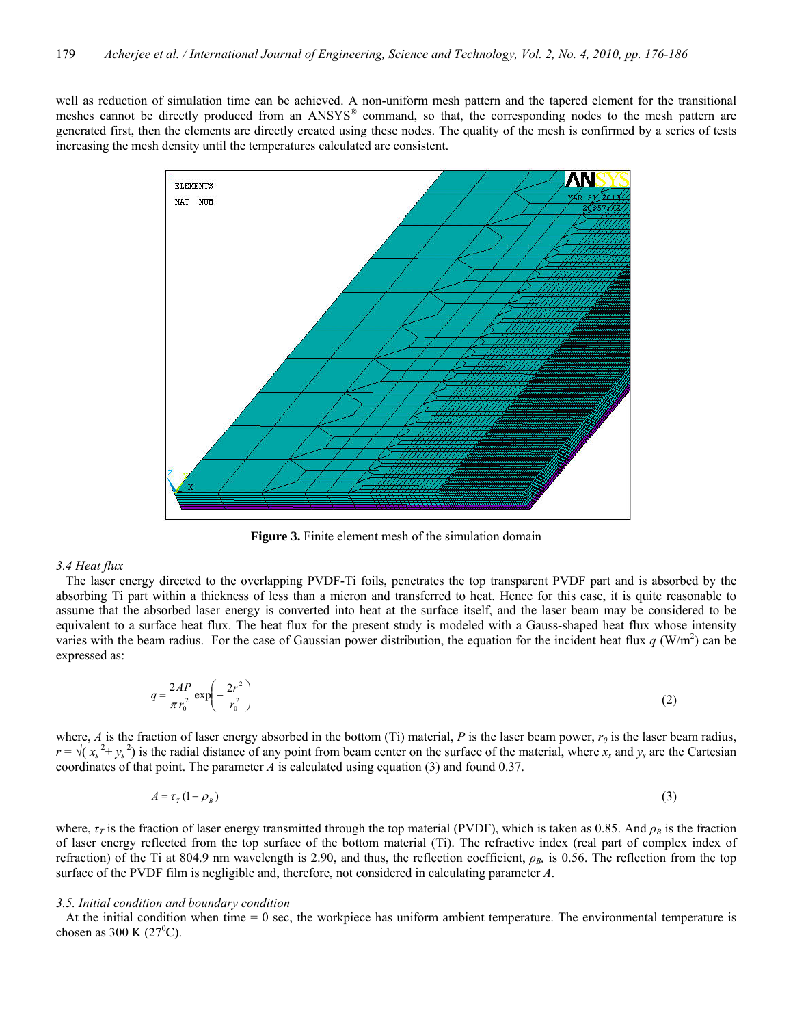well as reduction of simulation time can be achieved. A non-uniform mesh pattern and the tapered element for the transitional meshes cannot be directly produced from an ANSYS® command, so that, the corresponding nodes to the mesh pattern are generated first, then the elements are directly created using these nodes. The quality of the mesh is confirmed by a series of tests increasing the mesh density until the temperatures calculated are consistent.



**Figure 3.** Finite element mesh of the simulation domain

#### *3.4 Heat flux*

 The laser energy directed to the overlapping PVDF-Ti foils, penetrates the top transparent PVDF part and is absorbed by the absorbing Ti part within a thickness of less than a micron and transferred to heat. Hence for this case, it is quite reasonable to assume that the absorbed laser energy is converted into heat at the surface itself, and the laser beam may be considered to be equivalent to a surface heat flux. The heat flux for the present study is modeled with a Gauss-shaped heat flux whose intensity varies with the beam radius. For the case of Gaussian power distribution, the equation for the incident heat flux  $q (W/m<sup>2</sup>)$  can be expressed as:

$$
q = \frac{2AP}{\pi r_0^2} \exp\left(-\frac{2r^2}{r_0^2}\right) \tag{2}
$$

where, *A* is the fraction of laser energy absorbed in the bottom (Ti) material, *P* is the laser beam power,  $r_0$  is the laser beam radius,  $r = \sqrt{(x_s^2 + y_s^2)}$  is the radial distance of any point from beam center on the surface of the material, where  $x_s$  and  $y_s$  are the Cartesian coordinates of that point. The parameter *A* is calculated using equation (3) and found 0.37.

$$
A = \tau_{\rm r}(1 - \rho_{\rm s}) \tag{3}
$$

where,  $\tau$ <sup>*T*</sup> is the fraction of laser energy transmitted through the top material (PVDF), which is taken as 0.85. And  $\rho$ <sup>*B*</sup> is the fraction of laser energy reflected from the top surface of the bottom material (Ti). The refractive index (real part of complex index of refraction) of the Ti at 804.9 nm wavelength is 2.90, and thus, the reflection coefficient,  $\rho_B$ , is 0.56. The reflection from the top surface of the PVDF film is negligible and, therefore, not considered in calculating parameter *A*.

# *3.5. Initial condition and boundary condition*

At the initial condition when time  $= 0$  sec, the workpiece has uniform ambient temperature. The environmental temperature is chosen as 300 K  $(27^0C)$ .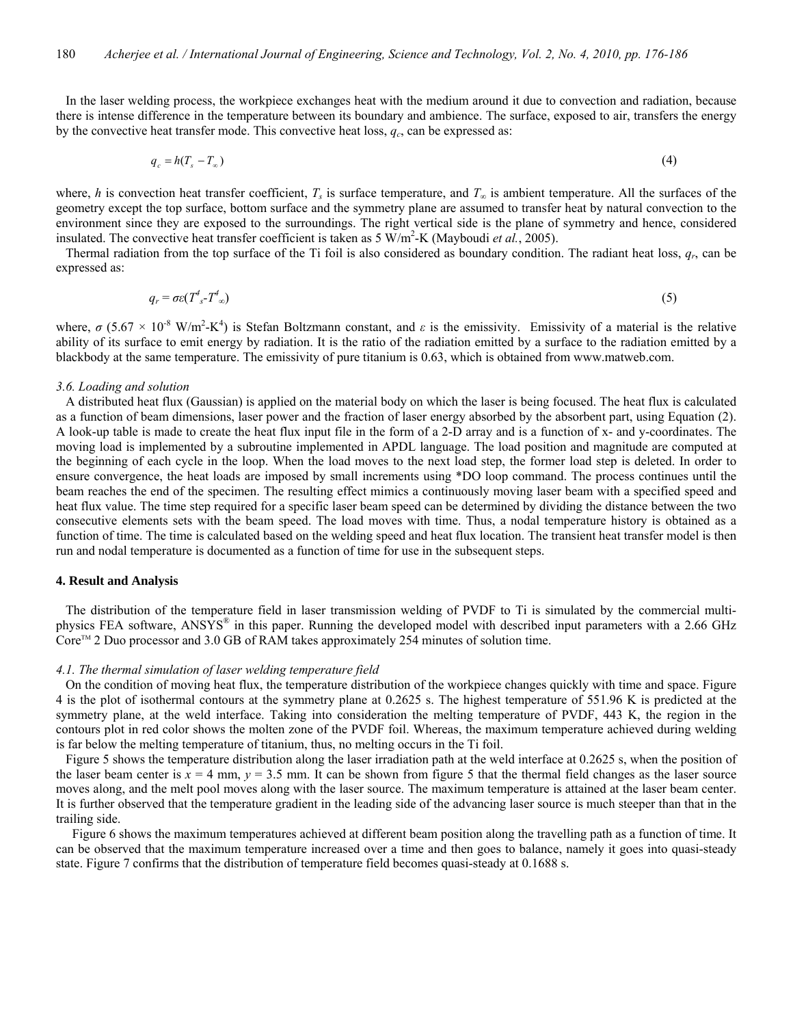In the laser welding process, the workpiece exchanges heat with the medium around it due to convection and radiation, because there is intense difference in the temperature between its boundary and ambience. The surface, exposed to air, transfers the energy by the convective heat transfer mode. This convective heat loss,  $q_c$ , can be expressed as:

$$
q_c = h(T_s - T_\infty) \tag{4}
$$

where, *h* is convection heat transfer coefficient,  $T_s$  is surface temperature, and  $T_\infty$  is ambient temperature. All the surfaces of the geometry except the top surface, bottom surface and the symmetry plane are assumed to transfer heat by natural convection to the environment since they are exposed to the surroundings. The right vertical side is the plane of symmetry and hence, considered insulated. The convective heat transfer coefficient is taken as  $5 \text{ W/m}^2$ -K (Mayboudi *et al.*, 2005).

 Thermal radiation from the top surface of the Ti foil is also considered as boundary condition. The radiant heat loss, *qr*, can be expressed as:

$$
q_r = \sigma \varepsilon (T^4 \zeta - T^4 \zeta) \tag{5}
$$

where,  $\sigma$  (5.67  $\times$  10<sup>-8</sup> W/m<sup>2</sup>-K<sup>4</sup>) is Stefan Boltzmann constant, and  $\varepsilon$  is the emissivity. Emissivity of a material is the relative ability of its surface to emit energy by radiation. It is the ratio of the radiation emitted by a surface to the radiation emitted by a blackbody at the same temperature. The emissivity of pure titanium is 0.63, which is obtained from www.matweb.com.

#### *3.6. Loading and solution*

 A distributed heat flux (Gaussian) is applied on the material body on which the laser is being focused. The heat flux is calculated as a function of beam dimensions, laser power and the fraction of laser energy absorbed by the absorbent part, using Equation (2). A look-up table is made to create the heat flux input file in the form of a 2-D array and is a function of x- and y-coordinates. The moving load is implemented by a subroutine implemented in APDL language. The load position and magnitude are computed at the beginning of each cycle in the loop. When the load moves to the next load step, the former load step is deleted. In order to ensure convergence, the heat loads are imposed by small increments using \*DO loop command. The process continues until the beam reaches the end of the specimen. The resulting effect mimics a continuously moving laser beam with a specified speed and heat flux value. The time step required for a specific laser beam speed can be determined by dividing the distance between the two consecutive elements sets with the beam speed. The load moves with time. Thus, a nodal temperature history is obtained as a function of time. The time is calculated based on the welding speed and heat flux location. The transient heat transfer model is then run and nodal temperature is documented as a function of time for use in the subsequent steps.

#### **4. Result and Analysis**

 The distribution of the temperature field in laser transmission welding of PVDF to Ti is simulated by the commercial multiphysics FEA software, ANSYS<sup>®</sup> in this paper. Running the developed model with described input parameters with a 2.66 GHz Core<sup>™</sup> 2 Duo processor and 3.0 GB of RAM takes approximately 254 minutes of solution time.

#### *4.1. The thermal simulation of laser welding temperature field*

 On the condition of moving heat flux, the temperature distribution of the workpiece changes quickly with time and space. Figure 4 is the plot of isothermal contours at the symmetry plane at 0.2625 s. The highest temperature of 551.96 K is predicted at the symmetry plane, at the weld interface. Taking into consideration the melting temperature of PVDF, 443 K, the region in the contours plot in red color shows the molten zone of the PVDF foil. Whereas, the maximum temperature achieved during welding is far below the melting temperature of titanium, thus, no melting occurs in the Ti foil.

 Figure 5 shows the temperature distribution along the laser irradiation path at the weld interface at 0.2625 s, when the position of the laser beam center is  $x = 4$  mm,  $y = 3.5$  mm. It can be shown from figure 5 that the thermal field changes as the laser source moves along, and the melt pool moves along with the laser source. The maximum temperature is attained at the laser beam center. It is further observed that the temperature gradient in the leading side of the advancing laser source is much steeper than that in the trailing side.

 Figure 6 shows the maximum temperatures achieved at different beam position along the travelling path as a function of time. It can be observed that the maximum temperature increased over a time and then goes to balance, namely it goes into quasi-steady state. Figure 7 confirms that the distribution of temperature field becomes quasi-steady at 0.1688 s.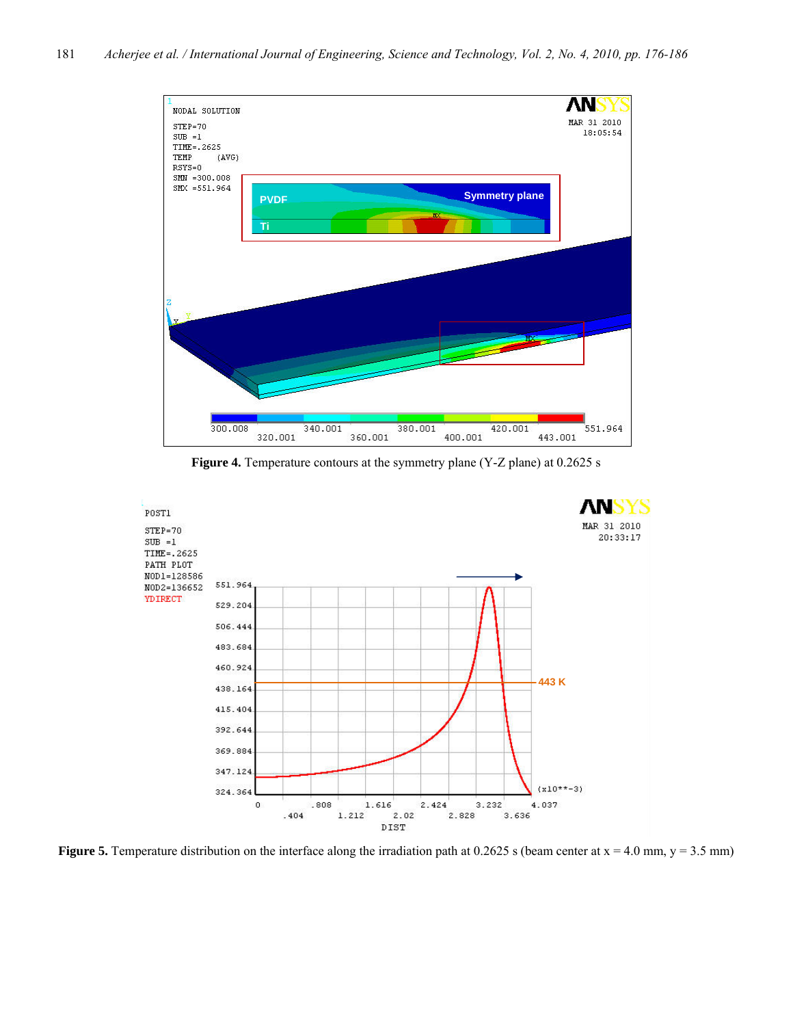

Figure 4. Temperature contours at the symmetry plane (Y-Z plane) at 0.2625 s



**Figure 5.** Temperature distribution on the interface along the irradiation path at  $0.2625$  s (beam center at  $x = 4.0$  mm,  $y = 3.5$  mm)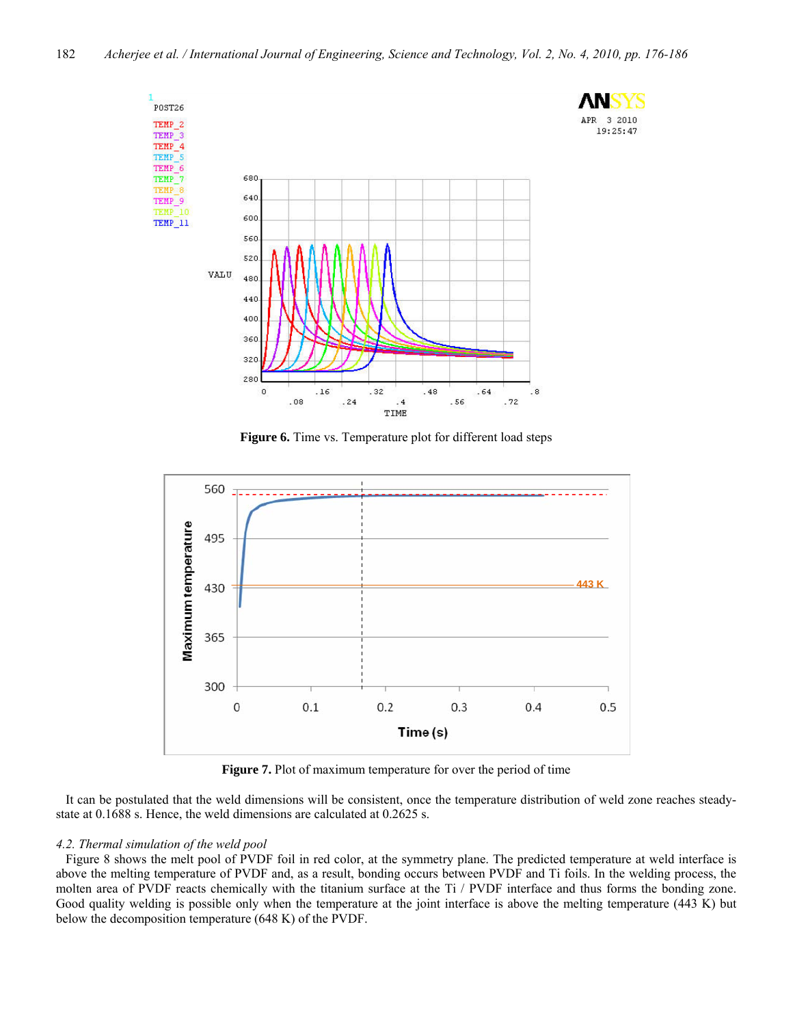3 2010



**Figure 6.** Time vs. Temperature plot for different load steps



**Figure 7.** Plot of maximum temperature for over the period of time

 It can be postulated that the weld dimensions will be consistent, once the temperature distribution of weld zone reaches steadystate at 0.1688 s. Hence, the weld dimensions are calculated at 0.2625 s.

# *4.2. Thermal simulation of the weld pool*

 Figure 8 shows the melt pool of PVDF foil in red color, at the symmetry plane. The predicted temperature at weld interface is above the melting temperature of PVDF and, as a result, bonding occurs between PVDF and Ti foils. In the welding process, the molten area of PVDF reacts chemically with the titanium surface at the Ti / PVDF interface and thus forms the bonding zone. Good quality welding is possible only when the temperature at the joint interface is above the melting temperature (443 K) but below the decomposition temperature (648 K) of the PVDF.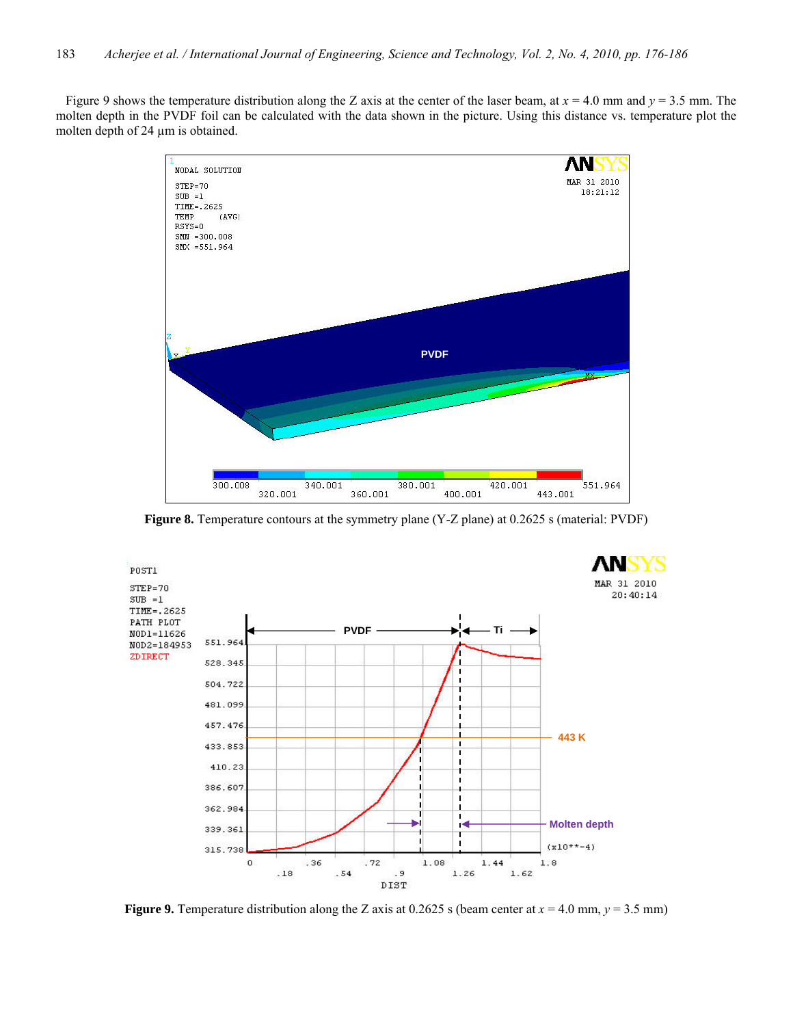Figure 9 shows the temperature distribution along the Z axis at the center of the laser beam, at *x* = 4.0 mm and *y* = 3.5 mm. The molten depth in the PVDF foil can be calculated with the data shown in the picture. Using this distance vs. temperature plot the molten depth of 24  $\mu$ m is obtained.



**Figure 8.** Temperature contours at the symmetry plane (Y-Z plane) at 0.2625 s (material: PVDF)



**Figure 9.** Temperature distribution along the Z axis at 0.2625 s (beam center at  $x = 4.0$  mm,  $y = 3.5$  mm)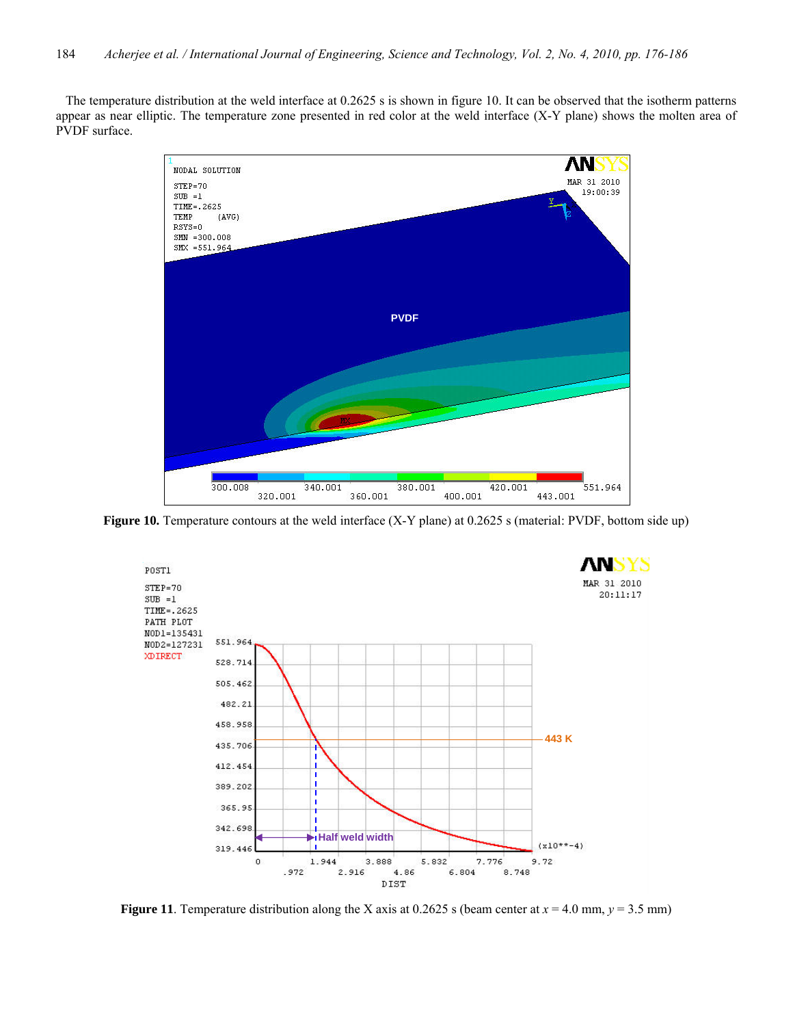The temperature distribution at the weld interface at 0.2625 s is shown in figure 10. It can be observed that the isotherm patterns appear as near elliptic. The temperature zone presented in red color at the weld interface (X-Y plane) shows the molten area of PVDF surface.



**Figure 10.** Temperature contours at the weld interface (X-Y plane) at 0.2625 s (material: PVDF, bottom side up)



**Figure 11**. Temperature distribution along the X axis at 0.2625 s (beam center at  $x = 4.0$  mm,  $y = 3.5$  mm)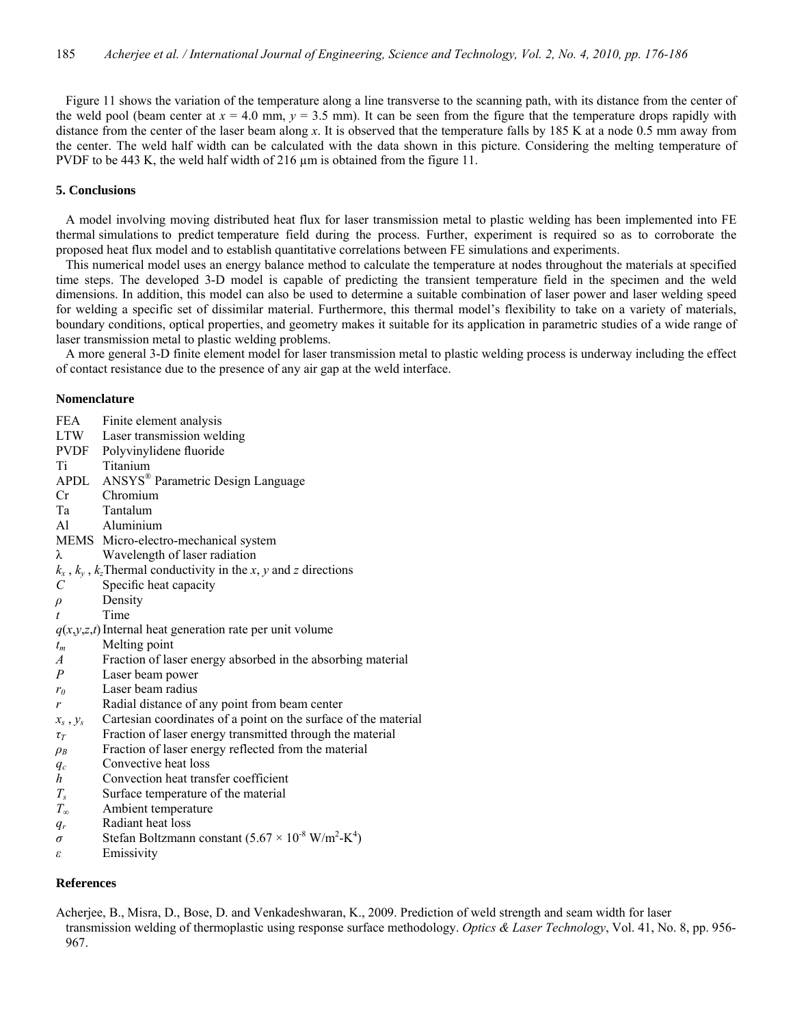Figure 11 shows the variation of the temperature along a line transverse to the scanning path, with its distance from the center of the weld pool (beam center at  $x = 4.0$  mm,  $y = 3.5$  mm). It can be seen from the figure that the temperature drops rapidly with distance from the center of the laser beam along *x*. It is observed that the temperature falls by 185 K at a node 0.5 mm away from the center. The weld half width can be calculated with the data shown in this picture. Considering the melting temperature of PVDF to be 443 K, the weld half width of 216  $\mu$ m is obtained from the figure 11.

# **5. Conclusions**

 A model involving moving distributed heat flux for laser transmission metal to plastic welding has been implemented into FE thermal simulations to predict temperature field during the process. Further, experiment is required so as to corroborate the proposed heat flux model and to establish quantitative correlations between FE simulations and experiments.

 This numerical model uses an energy balance method to calculate the temperature at nodes throughout the materials at specified time steps. The developed 3-D model is capable of predicting the transient temperature field in the specimen and the weld dimensions. In addition, this model can also be used to determine a suitable combination of laser power and laser welding speed for welding a specific set of dissimilar material. Furthermore, this thermal model's flexibility to take on a variety of materials, boundary conditions, optical properties, and geometry makes it suitable for its application in parametric studies of a wide range of laser transmission metal to plastic welding problems.

 A more general 3-D finite element model for laser transmission metal to plastic welding process is underway including the effect of contact resistance due to the presence of any air gap at the weld interface.

#### **Nomenclature**

- FEA Finite element analysis
- LTW Laser transmission welding
- PVDF Polyvinylidene fluoride
- Ti Titanium
- APDL ANSYS® Parametric Design Language
- Cr Chromium
- Ta Tantalum
- Al Aluminium
- MEMS Micro-electro-mechanical system
- λ Wavelength of laser radiation
- $k_x$ ,  $k_y$ ,  $k_z$ Thermal conductivity in the *x*, *y* and *z* directions
- *C* Specific heat capacity
- *ρ* Density
- *t* Time
- $q(x,y,z,t)$  Internal heat generation rate per unit volume
- *tm* Melting point
- *A* Fraction of laser energy absorbed in the absorbing material
- *P* Laser beam power
- *r0* Laser beam radius
- *r* Radial distance of any point from beam center
- $x_s$ ,  $y_s$  Cartesian coordinates of a point on the surface of the material
- *τT* Fraction of laser energy transmitted through the material
- *ρB* Fraction of laser energy reflected from the material
- *qc* Convective heat loss
- *h* Convection heat transfer coefficient
- *Ts* Surface temperature of the material
- *T<sup>∞</sup>* Ambient temperature
- *qr* Radiant heat loss
- $\sigma$  Stefan Boltzmann constant  $(5.67 \times 10^{-8} \text{ W/m}^2\text{-K}^4)$
- *ε* Emissivity

# **References**

Acherjee, B., Misra, D., Bose, D. and Venkadeshwaran, K., 2009. Prediction of weld strength and seam width for laser transmission welding of thermoplastic using response surface methodology. *Optics & Laser Technology*, Vol. 41, No. 8, pp. 956- 967.